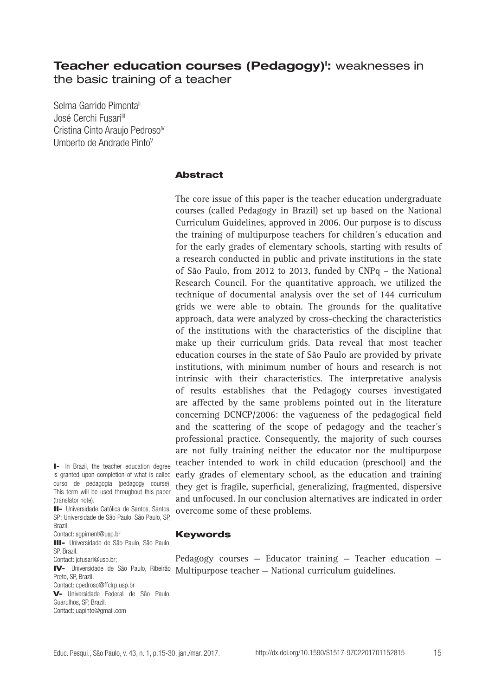# **Teacher education courses (Pedagogy)<sup></sup>:** weaknesses in the basic training of a teacher

Selma Garrido Pimenta<sup>II</sup> José Cerchi Fusari<sup>III</sup> Cristina Cinto Araujo Pedroso<sup>IV</sup> Umberto de Andrade Pinto<sup>v</sup>

#### **Abstract**

The core issue of this paper is the teacher education undergraduate courses (called Pedagogy in Brazil) set up based on the National Curriculum Guidelines, approved in 2006. Our purpose is to discuss the training of multipurpose teachers for children´s education and for the early grades of elementary schools, starting with results of a research conducted in public and private institutions in the state of São Paulo, from 2012 to 2013, funded by CNPq – the National Research Council. For the quantitative approach, we utilized the technique of documental analysis over the set of 144 curriculum grids we were able to obtain. The grounds for the qualitative approach, data were analyzed by cross-checking the characteristics of the institutions with the characteristics of the discipline that make up their curriculum grids. Data reveal that most teacher education courses in the state of São Paulo are provided by private institutions, with minimum number of hours and research is not intrinsic with their characteristics. The interpretative analysis of results establishes that the Pedagogy courses investigated are affected by the same problems pointed out in the literature concerning DCNCP/2006: the vagueness of the pedagogical field and the scattering of the scope of pedagogy and the teacher´s professional practice. Consequently, the majority of such courses are not fully training neither the educator nor the multipurpose teacher intended to work in child education (preschool) and the early grades of elementary school, as the education and training they get is fragile, superficial, generalizing, fragmented, dispersive and unfocused. In our conclusion alternatives are indicated in order overcome some of these problems.

I- In Brazil, the teacher education degree is granted upon completion of what is called curso de pedagogia (pedagogy course). This term will be used throughout this paper (translator note).

II- Universidade Católica de Santos, Santos, SP; Universidade de São Paulo, São Paulo, SP, Brazil.

Contact: sgpiment@usp.br

III- Universidade de São Paulo, São Paulo, SP, Brazil.

Contact: icfusari@usp.br;

Preto, SP, Brazil. Contact: cpedroso@ffclrp.usp.br V- Universidade Federal de São Paulo,

Guarulhos, SP, Brazil. Contact: uapinto@gmail.com

Keywords

Pedagogy courses — Educator training — Teacher education — IV- Universidade de São Paulo, Ribeirão Multipurpose teacher — National curriculum guidelines.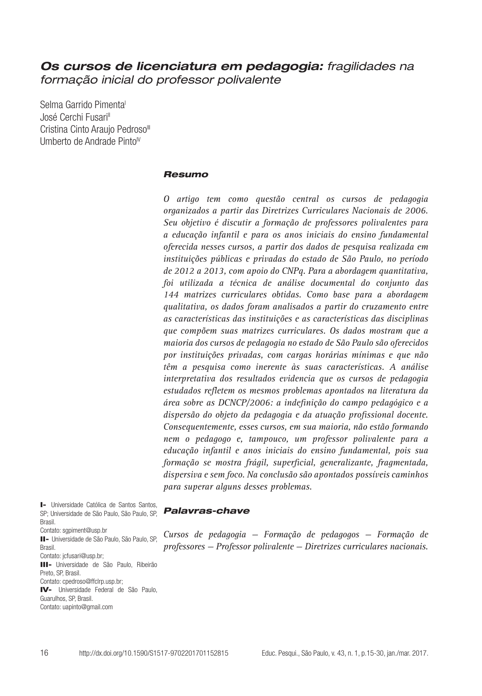# *Os cursos de licenciatura em pedagogia: fragilidades na formação inicial do professor polivalente*

Selma Garrido Pimenta<sup>1</sup> José Cerchi Fusari<sup>II</sup> Cristina Cinto Araujo Pedroso<sup>III</sup> Umberto de Andrade Pinto $W$ 

#### *Resumo*

*O artigo tem como questão central os cursos de pedagogia organizados a partir das Diretrizes Curriculares Nacionais de 2006. Seu objetivo é discutir a formação de professores polivalentes para a educação infantil e para os anos iniciais do ensino fundamental oferecida nesses cursos, a partir dos dados de pesquisa realizada em instituições públicas e privadas do estado de São Paulo, no período de 2012 a 2013, com apoio do CNPq. Para a abordagem quantitativa, foi utilizada a técnica de análise documental do conjunto das 144 matrizes curriculares obtidas. Como base para a abordagem qualitativa, os dados foram analisados a partir do cruzamento entre as características das instituições e as características das disciplinas que compõem suas matrizes curriculares. Os dados mostram que a maioria dos cursos de pedagogia no estado de São Paulo são oferecidos por instituições privadas, com cargas horárias mínimas e que não têm a pesquisa como inerente às suas características. A análise interpretativa dos resultados evidencia que os cursos de pedagogia estudados refletem os mesmos problemas apontados na literatura da área sobre as DCNCP/2006: a indefinição do campo pedagógico e a dispersão do objeto da pedagogia e da atuação profissional docente. Consequentemente, esses cursos, em sua maioria, não estão formando nem o pedagogo e, tampouco, um professor polivalente para a educação infantil e anos iniciais do ensino fundamental, pois sua formação se mostra frágil, superficial, generalizante, fragmentada, dispersiva e sem foco. Na conclusão são apontados possíveis caminhos para superar alguns desses problemas.*

I- Universidade Católica de Santos Santos, SP; Universidade de São Paulo, São Paulo, SP, Brasil. Contato: sgpiment@usp.br II- Universidade de São Paulo, São Paulo, SP, Brasil. Contato: jcfusari@usp.br; III- Universidade de São Paulo, Ribeirão Preto, SP, Brasil. Contato: cpedroso@ffclrp.usp.br; IV- Universidade Federal de São Paulo, Guarulhos, SP, Brasil. Contato: uapinto@gmail.com

#### *Palavras-chave*

*Cursos de pedagogia — Formação de pedagogos — Formação de professores — Professor polivalente — Diretrizes curriculares nacionais.*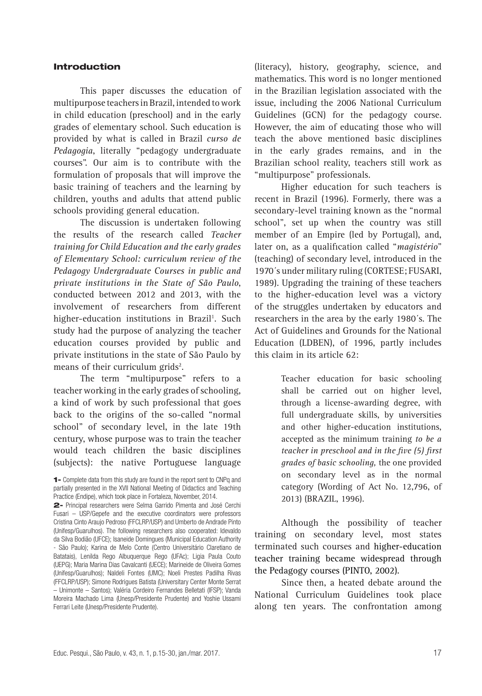#### Introduction

This paper discusses the education of multipurpose teachers in Brazil, intended to work in child education (preschool) and in the early grades of elementary school. Such education is provided by what is called in Brazil *curso de Pedagogia*, literally "pedagogy undergraduate courses". Our aim is to contribute with the formulation of proposals that will improve the basic training of teachers and the learning by children, youths and adults that attend public schools providing general education.

The discussion is undertaken following the results of the research called *Teacher training for Child Education and the early grades of Elementary School: curriculum review of the Pedagogy Undergraduate Courses in public and private institutions in the State of São Paulo*, conducted between 2012 and 2013, with the involvement of researchers from different higher-education institutions in Brazil<sup>1</sup>. Such study had the purpose of analyzing the teacher education courses provided by public and private institutions in the state of São Paulo by means of their curriculum grids<sup>2</sup>.

The term "multipurpose" refers to a teacher working in the early grades of schooling, a kind of work by such professional that goes back to the origins of the so-called "normal school" of secondary level, in the late 19th century, whose purpose was to train the teacher would teach children the basic disciplines (subjects): the native Portuguese language

2- Principal researchers were Selma Garrido Pimenta and José Cerchi Fusari – USP/Gepefe and the executive coordinators were professors Cristina Cinto Araujo Pedroso (FFCLRP/USP) and Umberto de Andrade Pinto (Unifesp/Guarulhos). The following researchers also cooperated: Idevaldo da Silva Bodião (UFCE); Isaneide Domingues (Municipal Education Authority - São Paulo); Karina de Melo Conte (Centro Universitário Claretiano de Batatais), Lenilda Rego Albuquerque Rego (UFAc); Ligia Paula Couto (UEPG); Maria Marina Dias Cavalcanti (UECE); Marineide de Oliveira Gomes (Unifesp/Guarulhos); Naldeli Fontes (UMC); Noeli Prestes Padilha Rivas (FFCLRP/USP); Simone Rodrigues Batista (Universitary Center Monte Serrat – Unimonte – Santos); Valéria Cordeiro Fernandes Belletati (IFSP); Vanda Moreira Machado Lima (Unesp/Presidente Prudente) and Yoshie Ussami Ferrari Leite (Unesp/Presidente Prudente).

(literacy), history, geography, science, and mathematics. This word is no longer mentioned in the Brazilian legislation associated with the issue, including the 2006 National Curriculum Guidelines (GCN) for the pedagogy course. However, the aim of educating those who will teach the above mentioned basic disciplines in the early grades remains, and in the Brazilian school reality, teachers still work as "multipurpose" professionals.

Higher education for such teachers is recent in Brazil (1996). Formerly, there was a secondary-level training known as the "normal school", set up when the country was still member of an Empire (led by Portugal), and, later on, as a qualification called "*magistério*" (teaching) of secondary level, introduced in the 1970´s under military ruling (CORTESE; FUSARI, 1989). Upgrading the training of these teachers to the higher-education level was a victory of the struggles undertaken by educators and researchers in the area by the early 1980´s. The Act of Guidelines and Grounds for the National Education (LDBEN), of 1996, partly includes this claim in its article 62:

> Teacher education for basic schooling shall be carried out on higher level, through a license-awarding degree, with full undergraduate skills, by universities and other higher-education institutions, accepted as the minimum training *to be a teacher in preschool and in the five (5) first grades of basic schooling,* the one provided on secondary level as in the normal category (Wording of Act No. 12,796, of 2013) (BRAZIL, 1996).

Although the possibility of teacher training on secondary level, most states terminated such courses and higher-education teacher training became widespread through the Pedagogy courses (PINTO, 2002).

Since then, a heated debate around the National Curriculum Guidelines took place along ten years. The confrontation among

<sup>1-</sup> Complete data from this study are found in the report sent to CNPq and partially presented in the XVII National Meeting of Didactics and Teaching Practice (Endipe), which took place in Fortaleza, November, 2014.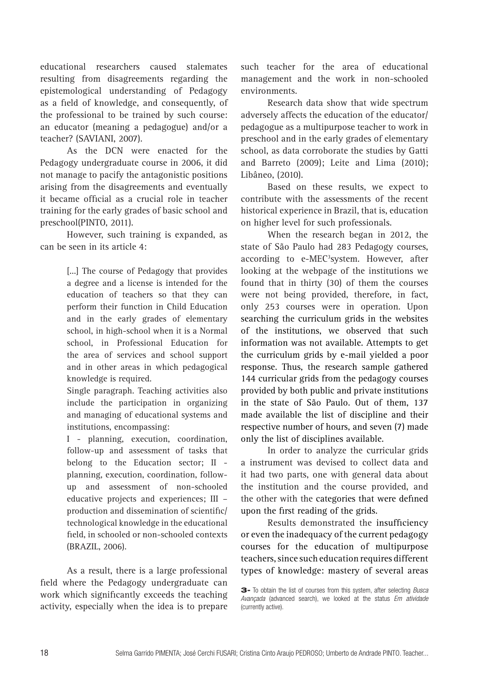educational researchers caused stalemates resulting from disagreements regarding the epistemological understanding of Pedagogy as a field of knowledge, and consequently, of the professional to be trained by such course: an educator (meaning a pedagogue) and/or a teacher? (SAVIANI, 2007).

As the DCN were enacted for the Pedagogy undergraduate course in 2006, it did not manage to pacify the antagonistic positions arising from the disagreements and eventually it became official as a crucial role in teacher training for the early grades of basic school and preschool(PINTO, 2011).

However, such training is expanded, as can be seen in its article 4:

> [...] The course of Pedagogy that provides a degree and a license is intended for the education of teachers so that they can perform their function in Child Education and in the early grades of elementary school, in high-school when it is a Normal school, in Professional Education for the area of services and school support and in other areas in which pedagogical knowledge is required.

> Single paragraph. Teaching activities also include the participation in organizing and managing of educational systems and institutions, encompassing:

> I - planning, execution, coordination, follow-up and assessment of tasks that belong to the Education sector; II planning, execution, coordination, followup and assessment of non-schooled educative projects and experiences; III – production and dissemination of scientific/ technological knowledge in the educational field, in schooled or non-schooled contexts (BRAZIL, 2006).

As a result, there is a large professional field where the Pedagogy undergraduate can work which significantly exceeds the teaching activity, especially when the idea is to prepare

such teacher for the area of educational management and the work in non-schooled environments.

Research data show that wide spectrum adversely affects the education of the educator/ pedagogue as a multipurpose teacher to work in preschool and in the early grades of elementary school, as data corroborate the studies by Gatti and Barreto (2009); Leite and Lima (2010); Libâneo, (2010).

Based on these results, we expect to contribute with the assessments of the recent historical experience in Brazil, that is, education on higher level for such professionals.

When the research began in 2012, the state of São Paulo had 283 Pedagogy courses, according to e-MEC<sup>3</sup>system. However, after looking at the webpage of the institutions we found that in thirty (30) of them the courses were not being provided, therefore, in fact, only 253 courses were in operation. Upon searching the curriculum grids in the websites of the institutions, we observed that such information was not available. Attempts to get the curriculum grids by e-mail yielded a poor response. Thus, the research sample gathered 144 curricular grids from the pedagogy courses provided by both public and private institutions in the state of São Paulo. Out of them, 137 made available the list of discipline and their respective number of hours, and seven (7) made only the list of disciplines available.

In order to analyze the curricular grids a instrument was devised to collect data and it had two parts, one with general data about the institution and the course provided, and the other with the categories that were defined upon the first reading of the grids.

Results demonstrated the insufficiency or even the inadequacy of the current pedagogy courses for the education of multipurpose teachers, since such education requires different types of knowledge: mastery of several areas

<sup>3-</sup> To obtain the list of courses from this system, after selecting *Busca Avançada* (advanced search), we looked at the status *Em atividade* (currently active).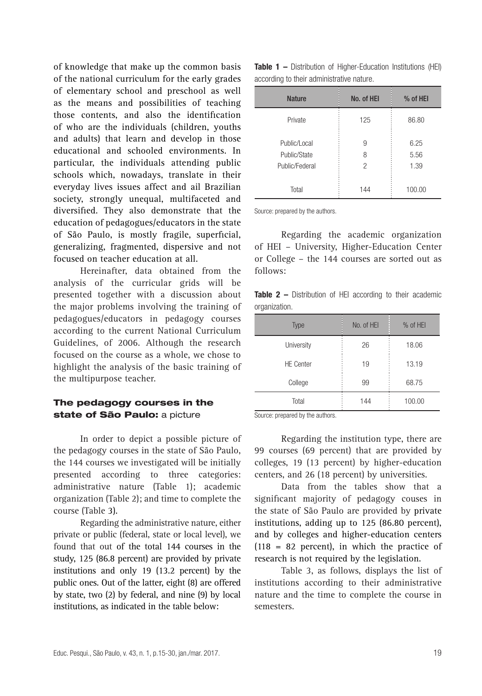of knowledge that make up the common basis of the national curriculum for the early grades of elementary school and preschool as well as the means and possibilities of teaching those contents, and also the identification of who are the individuals (children, youths and adults) that learn and develop in those educational and schooled environments. In particular, the individuals attending public schools which, nowadays, translate in their everyday lives issues affect and ail Brazilian society, strongly unequal, multifaceted and diversified. They also demonstrate that the education of pedagogues/educators in the state of São Paulo, is mostly fragile, superficial, generalizing, fragmented, dispersive and not focused on teacher education at all.

Hereinafter, data obtained from the analysis of the curricular grids will be presented together with a discussion about the major problems involving the training of pedagogues/educators in pedagogy courses according to the current National Curriculum Guidelines, of 2006. Although the research focused on the course as a whole, we chose to highlight the analysis of the basic training of the multipurpose teacher.

## The pedagogy courses in the state of São Paulo: a picture

In order to depict a possible picture of the pedagogy courses in the state of São Paulo, the 144 courses we investigated will be initially presented according to three categories: administrative nature (Table 1); academic organization (Table 2); and time to complete the course (Table 3).

Regarding the administrative nature, either private or public (federal, state or local level), we found that out of the total 144 courses in the study, 125 (86.8 percent) are provided by private institutions and only 19 (13.2 percent) by the public ones. Out of the latter, eight (8) are offered by state, two (2) by federal, and nine (9) by local institutions, as indicated in the table below:

**Table 1 –** Distribution of Higher-Education Institutions (HEI) according to their administrative nature.

| <b>Nature</b>  | No. of HEI | % of HEI |
|----------------|------------|----------|
| Private        | 125        | 86.80    |
| Public/Local   | 9          | 6.25     |
| Public/State   | 8          | 5.56     |
| Public/Federal | 2          | 1.39     |
| Total          | 144        | 100.00   |

Source: prepared by the authors.

Regarding the academic organization of HEI – University, Higher-Education Center or College – the 144 courses are sorted out as follows:

**Table 2 –** Distribution of HEI according to their academic organization.

| <b>Type</b>      | No. of HEI | % of HEI |
|------------------|------------|----------|
| University       | 26         | 18.06    |
| <b>HE Center</b> | 19         | 13.19    |
| College          | 99         | 68.75    |
| Total            | 144        | 100.00   |

Source: prepared by the authors.

Regarding the institution type, there are 99 courses (69 percent) that are provided by colleges, 19 (13 percent) by higher-education centers, and 26 (18 percent) by universities.

Data from the tables show that a significant majority of pedagogy couses in the state of São Paulo are provided by private institutions, adding up to 125 (86.80 percent), and by colleges and higher-education centers  $(118 = 82$  percent), in which the practice of research is not required by the legislation.

Table 3, as follows, displays the list of institutions according to their administrative nature and the time to complete the course in semesters.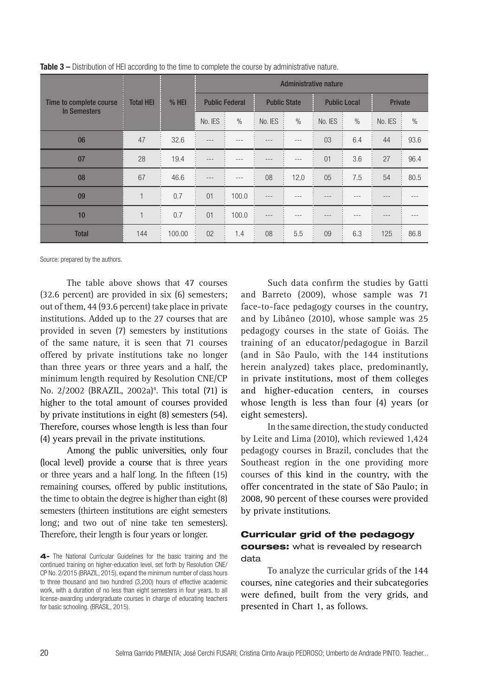|                                                | <b>Total HEI</b> | $%$ HEI | <b>Administrative nature</b> |         |                     |               |                     |               |                |      |
|------------------------------------------------|------------------|---------|------------------------------|---------|---------------------|---------------|---------------------|---------------|----------------|------|
| Time to complete course<br><b>In Semesters</b> |                  |         | <b>Public Federal</b>        |         | <b>Public State</b> |               | <b>Public Local</b> |               | <b>Private</b> |      |
|                                                |                  |         | No. IES                      | $\%$    | No. IES             | $\frac{0}{0}$ | No. IES             | $\frac{0}{0}$ | No. IES        | $\%$ |
| 06                                             | 47               | 32.6    | $---$                        | $- -$   |                     | $-- -$        | 03                  | 6.4           | 44             | 93.6 |
| 07                                             | 28               | 19.4    | $---$                        | $- - -$ | $- - -$             | $- - -$       | 01                  | 3.6           | 27             | 96.4 |
| 08                                             | 67               | 46.6    | $---$                        | ---     | 08                  | 12,0          | 05                  | 7.5           | 54             | 80.5 |
| 09                                             |                  | 0.7     | 01                           | 100.0   |                     |               |                     |               |                |      |
| 10                                             |                  | 0.7     | 01                           | 100.0   | $- - -$             | $- - -$       | $- - -$             | $- - -$       | $= -$          |      |
| <b>Total</b>                                   | 144              | 100.00  | 02                           | 1.4     | 08                  | 5.5           | 09                  | 6.3           | 125            | 86.8 |

**Table 3 –** Distribution of HEI according to the time to complete the course by administrative nature.

Source: prepared by the authors.

The table above shows that 47 courses (32.6 percent) are provided in six (6) semesters; out of them, 44 (93.6 percent) take place in private institutions. Added up to the 27 courses that are provided in seven (7) semesters by institutions of the same nature, it is seen that 71 courses offered by private institutions take no longer than three years or three years and a half, the minimum length required by Resolution CNE/CP No. 2/2002 (BRAZIL, 2002a)<sup>4</sup>. This total (71) is higher to the total amount of courses provided by private institutions in eight (8) semesters (54). Therefore, courses whose length is less than four (4) years prevail in the private institutions.

Among the public universities, only four (local level) provide a course that is three years or three years and a half long. In the fifteen (15) remaining courses, offered by public institutions, the time to obtain the degree is higher than eight (8) semesters (thirteen institutions are eight semesters long; and two out of nine take ten semesters). Therefore, their length is four years or longer.

Such data confirm the studies by Gatti and Barreto (2009), whose sample was 71 face-to-face pedagogy courses in the country, and by Libâneo (2010), whose sample was 25 pedagogy courses in the state of Goiás. The training of an educator/pedagogue in Barzil (and in São Paulo, with the 144 institutions herein analyzed) takes place, predominantly, in private institutions, most of them colleges and higher-education centers, in courses whose length is less than four (4) years (or eight semesters).

In the same direction, the study conducted by Leite and Lima (2010), which reviewed 1,424 pedagogy courses in Brazil, concludes that the Southeast region in the one providing more courses of this kind in the country, with the offer concentrated in the state of São Paulo; in 2008, 90 percent of these courses were provided by private institutions.

#### Curricular grid of the pedagogy courses: what is revealed by research data

To analyze the curricular grids of the 144 courses, nine categories and their subcategories were defined, built from the very grids, and presented in Chart 1, as follows.

<sup>4-</sup> The National Curricular Guidelines for the basic training and the continued training on higher-education level, set forth by Resolution CNE/ CP No. 2/2015 (BRAZIL, 2015), expand the minimum number of class hours to three thousand and two hundred (3,200) hours of effective academic work, with a duration of no less than eight semesters in four years, to all license-awarding undergraduate courses in charge of educating teachers for basic schooling. (BRASIL, 2015).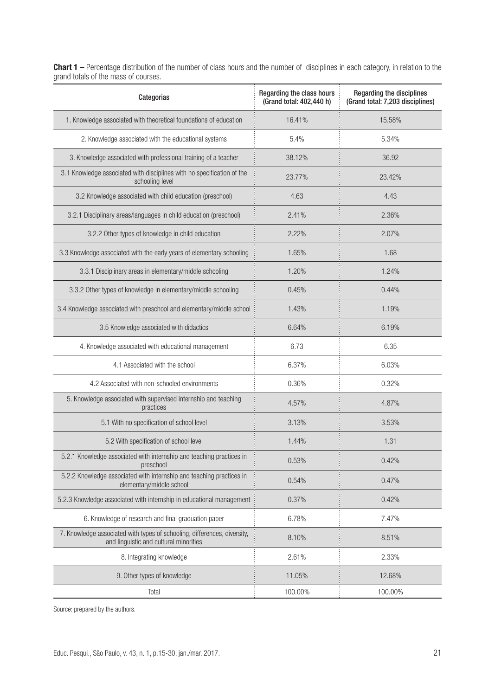| Categorias                                                                                                         | Regarding the class hours<br>(Grand total: 402,440 h) | <b>Regarding the disciplines</b><br>(Grand total: 7,203 disciplines) |  |
|--------------------------------------------------------------------------------------------------------------------|-------------------------------------------------------|----------------------------------------------------------------------|--|
| 1. Knowledge associated with theoretical foundations of education                                                  | 16.41%                                                | 15.58%                                                               |  |
| 2. Knowledge associated with the educational systems                                                               | 5.4%                                                  | 5.34%                                                                |  |
| 3. Knowledge associated with professional training of a teacher                                                    | 38.12%                                                | 36.92                                                                |  |
| 3.1 Knowledge associated with disciplines with no specification of the<br>schooling level                          | 23.77%                                                | 23.42%                                                               |  |
| 3.2 Knowledge associated with child education (preschool)                                                          | 4.63                                                  | 4.43                                                                 |  |
| 3.2.1 Disciplinary areas/languages in child education (preschool)                                                  | 2.41%                                                 | 2.36%                                                                |  |
| 3.2.2 Other types of knowledge in child education                                                                  | 2.22%                                                 | 2.07%                                                                |  |
| 3.3 Knowledge associated with the early years of elementary schooling                                              | 1.65%                                                 | 1.68                                                                 |  |
| 3.3.1 Disciplinary areas in elementary/middle schooling                                                            | 1.20%                                                 | 1.24%                                                                |  |
| 3.3.2 Other types of knowledge in elementary/middle schooling                                                      | 0.45%                                                 | 0.44%                                                                |  |
| 3.4 Knowledge associated with preschool and elementary/middle school                                               | 1.43%                                                 | 1.19%                                                                |  |
| 3.5 Knowledge associated with didactics                                                                            | 6.64%                                                 | 6.19%                                                                |  |
| 4. Knowledge associated with educational management                                                                | 6.73                                                  | 6.35                                                                 |  |
| 4.1 Associated with the school                                                                                     | 6.37%                                                 | 6.03%                                                                |  |
| 4.2 Associated with non-schooled environments                                                                      | 0.36%                                                 | 0.32%                                                                |  |
| 5. Knowledge associated with supervised internship and teaching<br>practices                                       | 4.57%                                                 | 4.87%                                                                |  |
| 5.1 With no specification of school level                                                                          | 3.13%                                                 | 3.53%                                                                |  |
| 5.2 With specification of school level                                                                             | 1.44%                                                 | 1.31                                                                 |  |
| 5.2.1 Knowledge associated with internship and teaching practices in<br>preschool                                  | 0.53%                                                 | 0.42%                                                                |  |
| 5.2.2 Knowledge associated with internship and teaching practices in<br>elementary/middle school                   | 0.54%                                                 | 0.47%                                                                |  |
| 5.2.3 Knowledge associated with internship in educational management                                               | 0.37%                                                 | 0.42%                                                                |  |
| 6. Knowledge of research and final graduation paper                                                                | 6.78%                                                 | 7.47%                                                                |  |
| 7. Knowledge associated with types of schooling, differences, diversity,<br>and linguistic and cultural minorities | 8.10%                                                 | 8.51%                                                                |  |
| 8. Integrating knowledge                                                                                           | 2.61%                                                 | 2.33%                                                                |  |
| 9. Other types of knowledge                                                                                        | 11.05%                                                | 12.68%                                                               |  |
| Total                                                                                                              | 100.00%                                               | 100.00%                                                              |  |

**Chart 1 –** Percentage distribution of the number of class hours and the number of disciplines in each category, in relation to the grand totals of the mass of courses.

Source: prepared by the authors.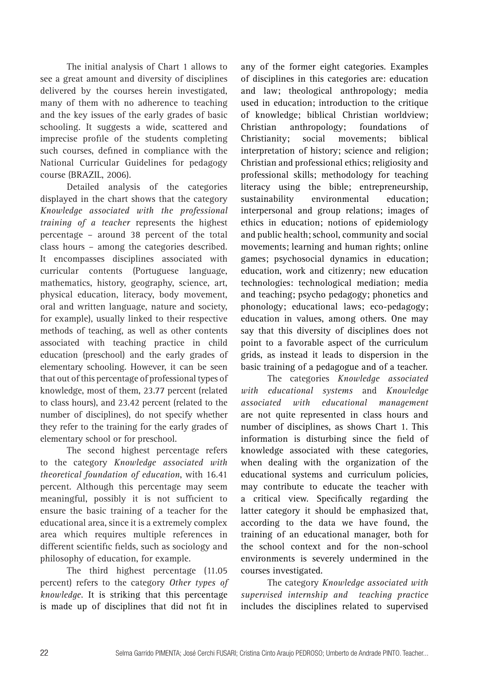The initial analysis of Chart 1 allows to see a great amount and diversity of disciplines delivered by the courses herein investigated, many of them with no adherence to teaching and the key issues of the early grades of basic schooling. It suggests a wide, scattered and imprecise profile of the students completing such courses, defined in compliance with the National Curricular Guidelines for pedagogy course (BRAZIL, 2006).

Detailed analysis of the categories displayed in the chart shows that the category *Knowledge associated with the professional training of a teacher* represents the highest percentage – around 38 percent of the total class hours – among the categories described. It encompasses disciplines associated with curricular contents (Portuguese language, mathematics, history, geography, science, art, physical education, literacy, body movement, oral and written language, nature and society, for example), usually linked to their respective methods of teaching, as well as other contents associated with teaching practice in child education (preschool) and the early grades of elementary schooling. However, it can be seen that out of this percentage of professional types of knowledge, most of them, 23.77 percent (related to class hours), and 23.42 percent (related to the number of disciplines), do not specify whether they refer to the training for the early grades of elementary school or for preschool.

The second highest percentage refers to the category *Knowledge associated with theoretical foundation of education*, with 16.41 percent. Although this percentage may seem meaningful, possibly it is not sufficient to ensure the basic training of a teacher for the educational area, since it is a extremely complex area which requires multiple references in different scientific fields, such as sociology and philosophy of education, for example.

The third highest percentage (11.05 percent) refers to the category *Other types of knowledge.* It is striking that this percentage is made up of disciplines that did not fit in any of the former eight categories. Examples of disciplines in this categories are: education and law; theological anthropology; media used in education; introduction to the critique of knowledge; biblical Christian worldview; Christian anthropology; foundations of Christianity; social movements; biblical interpretation of history; science and religion; Christian and professional ethics; religiosity and professional skills; methodology for teaching literacy using the bible; entrepreneurship, sustainability environmental education; interpersonal and group relations; images of ethics in education; notions of epidemiology and public health; school, community and social movements; learning and human rights; online games; psychosocial dynamics in education; education, work and citizenry; new education technologies: technological mediation; media and teaching; psycho pedagogy; phonetics and phonology; educational laws; eco-pedagogy; education in values, among others. One may say that this diversity of disciplines does not point to a favorable aspect of the curriculum grids, as instead it leads to dispersion in the basic training of a pedagogue and of a teacher.

The categories *Knowledge associated with educational systems* and *Knowledge associated with educational management*  are not quite represented in class hours and number of disciplines, as shows Chart 1. This information is disturbing since the field of knowledge associated with these categories, when dealing with the organization of the educational systems and curriculum policies, may contribute to educate the teacher with a critical view. Specifically regarding the latter category it should be emphasized that, according to the data we have found, the training of an educational manager, both for the school context and for the non-school environments is severely undermined in the courses investigated.

The category *Knowledge associated with supervised internship and teaching practice*  includes the disciplines related to supervised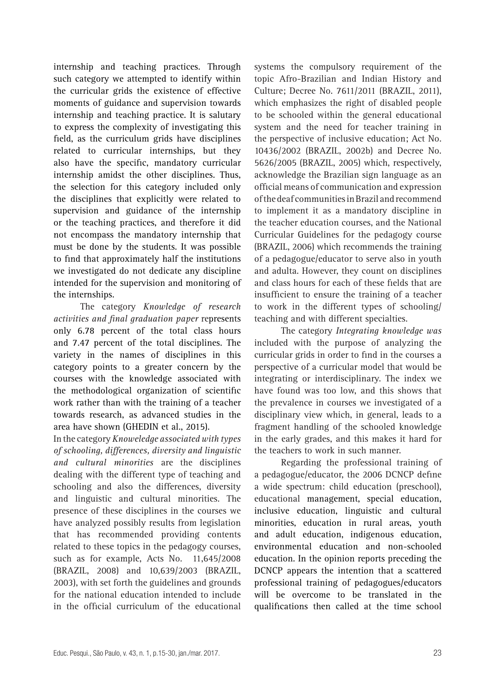internship and teaching practices. Through such category we attempted to identify within the curricular grids the existence of effective moments of guidance and supervision towards internship and teaching practice. It is salutary to express the complexity of investigating this field, as the curriculum grids have disciplines related to curricular internships, but they also have the specific, mandatory curricular internship amidst the other disciplines. Thus, the selection for this category included only the disciplines that explicitly were related to supervision and guidance of the internship or the teaching practices, and therefore it did not encompass the mandatory internship that must be done by the students. It was possible to find that approximately half the institutions we investigated do not dedicate any discipline intended for the supervision and monitoring of the internships.

The category *Knowledge of research activities and final graduation paper* represents only 6.78 percent of the total class hours and 7.47 percent of the total disciplines. The variety in the names of disciplines in this category points to a greater concern by the courses with the knowledge associated with the methodological organization of scientific work rather than with the training of a teacher towards research, as advanced studies in the area have shown (GHEDIN et al., 2015).

In the category *Knoweledge associated with types of schooling, differences, diversity and linguistic and cultural minorities* are the disciplines dealing with the different type of teaching and schooling and also the differences, diversity and linguistic and cultural minorities. The presence of these disciplines in the courses we have analyzed possibly results from legislation that has recommended providing contents related to these topics in the pedagogy courses, such as for example, Acts No. 11,645/2008 (BRAZIL, 2008) and 10,639/2003 (BRAZIL, 2003), with set forth the guidelines and grounds for the national education intended to include in the official curriculum of the educational

systems the compulsory requirement of the topic Afro-Brazilian and Indian History and Culture; Decree No. 7611/2011 (BRAZIL, 2011), which emphasizes the right of disabled people to be schooled within the general educational system and the need for teacher training in the perspective of inclusive education; Act No. 10436/2002 (BRAZIL, 2002b) and Decree No. 5626/2005 (BRAZIL, 2005) which, respectively, acknowledge the Brazilian sign language as an official means of communication and expression of the deaf communities in Brazil and recommend to implement it as a mandatory discipline in the teacher education courses, and the National Curricular Guidelines for the pedagogy course (BRAZIL, 2006) which recommends the training of a pedagogue/educator to serve also in youth and adulta. However, they count on disciplines and class hours for each of these fields that are insufficient to ensure the training of a teacher to work in the different types of schooling/ teaching and with different specialties.

The category *Integrating knowledge was* included with the purpose of analyzing the curricular grids in order to find in the courses a perspective of a curricular model that would be integrating or interdisciplinary. The index we have found was too low, and this shows that the prevalence in courses we investigated of a disciplinary view which, in general, leads to a fragment handling of the schooled knowledge in the early grades, and this makes it hard for the teachers to work in such manner.

Regarding the professional training of a pedagogue/educator, the 2006 DCNCP define a wide spectrum: child education (preschool), educational management, special education, inclusive education, linguistic and cultural minorities, education in rural areas, youth and adult education, indigenous education, environmental education and non-schooled education. In the opinion reports preceding the DCNCP appears the intention that a scattered professional training of pedagogues/educators will be overcome to be translated in the qualifications then called at the time school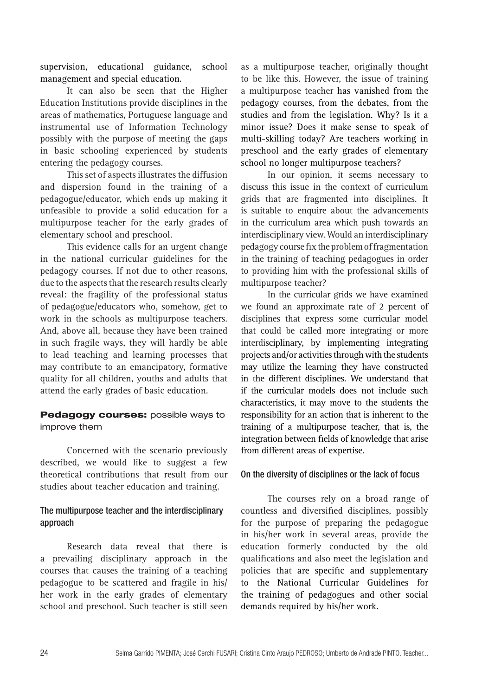supervision, educational guidance, school management and special education.

It can also be seen that the Higher Education Institutions provide disciplines in the areas of mathematics, Portuguese language and instrumental use of Information Technology possibly with the purpose of meeting the gaps in basic schooling experienced by students entering the pedagogy courses.

This set of aspects illustrates the diffusion and dispersion found in the training of a pedagogue/educator, which ends up making it unfeasible to provide a solid education for a multipurpose teacher for the early grades of elementary school and preschool.

This evidence calls for an urgent change in the national curricular guidelines for the pedagogy courses. If not due to other reasons, due to the aspects that the research results clearly reveal: the fragility of the professional status of pedagogue/educators who, somehow, get to work in the schools as multipurpose teachers. And, above all, because they have been trained in such fragile ways, they will hardly be able to lead teaching and learning processes that may contribute to an emancipatory, formative quality for all children, youths and adults that attend the early grades of basic education.

## Pedagogy courses: possible ways to improve them

Concerned with the scenario previously described, we would like to suggest a few theoretical contributions that result from our studies about teacher education and training.

## The multipurpose teacher and the interdisciplinary approach

Research data reveal that there is a prevailing disciplinary approach in the courses that causes the training of a teaching pedagogue to be scattered and fragile in his/ her work in the early grades of elementary school and preschool. Such teacher is still seen as a multipurpose teacher, originally thought to be like this. However, the issue of training a multipurpose teacher has vanished from the pedagogy courses, from the debates, from the studies and from the legislation. Why? Is it a minor issue? Does it make sense to speak of multi-skilling today? Are teachers working in preschool and the early grades of elementary school no longer multipurpose teachers?

In our opinion, it seems necessary to discuss this issue in the context of curriculum grids that are fragmented into disciplines. It is suitable to enquire about the advancements in the curriculum area which push towards an interdisciplinary view. Would an interdisciplinary pedagogy course fix the problem of fragmentation in the training of teaching pedagogues in order to providing him with the professional skills of multipurpose teacher?

In the curricular grids we have examined we found an approximate rate of 2 percent of disciplines that express some curricular model that could be called more integrating or more interdisciplinary, by implementing integrating projects and/or activities through with the students may utilize the learning they have constructed in the different disciplines. We understand that if the curricular models does not include such characteristics, it may move to the students the responsibility for an action that is inherent to the training of a multipurpose teacher, that is, the integration between fields of knowledge that arise from different areas of expertise.

## On the diversity of disciplines or the lack of focus

The courses rely on a broad range of countless and diversified disciplines, possibly for the purpose of preparing the pedagogue in his/her work in several areas, provide the education formerly conducted by the old qualifications and also meet the legislation and policies that are specific and supplementary to the National Curricular Guidelines for the training of pedagogues and other social demands required by his/her work.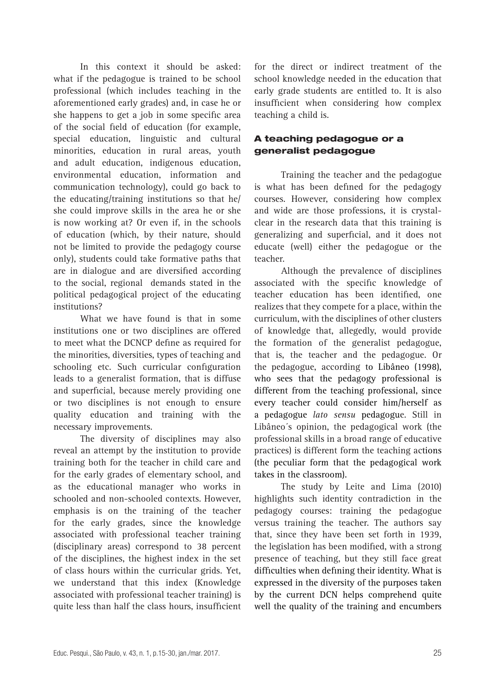In this context it should be asked: what if the pedagogue is trained to be school professional (which includes teaching in the aforementioned early grades) and, in case he or she happens to get a job in some specific area of the social field of education (for example, special education, linguistic and cultural minorities, education in rural areas, youth and adult education, indigenous education, environmental education, information and communication technology), could go back to the educating/training institutions so that he/ she could improve skills in the area he or she is now working at? Or even if, in the schools of education (which, by their nature, should not be limited to provide the pedagogy course only), students could take formative paths that are in dialogue and are diversified according to the social, regional demands stated in the political pedagogical project of the educating institutions?

What we have found is that in some institutions one or two disciplines are offered to meet what the DCNCP define as required for the minorities, diversities, types of teaching and schooling etc. Such curricular configuration leads to a generalist formation, that is diffuse and superficial, because merely providing one or two disciplines is not enough to ensure quality education and training with the necessary improvements.

The diversity of disciplines may also reveal an attempt by the institution to provide training both for the teacher in child care and for the early grades of elementary school, and as the educational manager who works in schooled and non-schooled contexts. However, emphasis is on the training of the teacher for the early grades, since the knowledge associated with professional teacher training (disciplinary areas) correspond to 38 percent of the disciplines, the highest index in the set of class hours within the curricular grids. Yet, we understand that this index (Knowledge associated with professional teacher training) is quite less than half the class hours, insufficient for the direct or indirect treatment of the school knowledge needed in the education that early grade students are entitled to. It is also insufficient when considering how complex teaching a child is.

# A teaching pedagogue or a generalist pedagogue

Training the teacher and the pedagogue is what has been defined for the pedagogy courses. However, considering how complex and wide are those professions, it is crystalclear in the research data that this training is generalizing and superficial, and it does not educate (well) either the pedagogue or the teacher.

Although the prevalence of disciplines associated with the specific knowledge of teacher education has been identified, one realizes that they compete for a place, within the curriculum, with the disciplines of other clusters of knowledge that, allegedly, would provide the formation of the generalist pedagogue, that is, the teacher and the pedagogue. Or the pedagogue, according to Libâneo (1998), who sees that the pedagogy professional is different from the teaching professional, since every teacher could consider him/herself as a pedagogue *lato sensu* pedagogue. Still in Libâneo´s opinion, the pedagogical work (the professional skills in a broad range of educative practices) is different form the teaching actions (the peculiar form that the pedagogical work takes in the classroom).

The study by Leite and Lima (2010) highlights such identity contradiction in the pedagogy courses: training the pedagogue versus training the teacher. The authors say that, since they have been set forth in 1939, the legislation has been modified, with a strong presence of teaching, but they still face great difficulties when defining their identity. What is expressed in the diversity of the purposes taken by the current DCN helps comprehend quite well the quality of the training and encumbers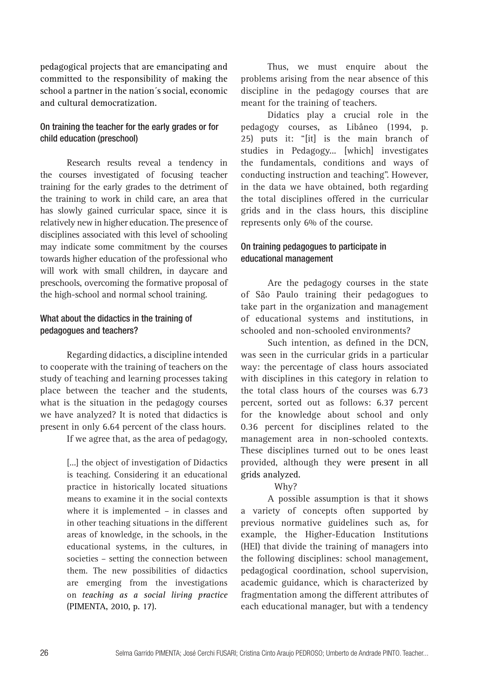pedagogical projects that are emancipating and committed to the responsibility of making the school a partner in the nation´s social, economic and cultural democratization.

## On training the teacher for the early grades or for child education (preschool)

Research results reveal a tendency in the courses investigated of focusing teacher training for the early grades to the detriment of the training to work in child care, an area that has slowly gained curricular space, since it is relatively new in higher education. The presence of disciplines associated with this level of schooling may indicate some commitment by the courses towards higher education of the professional who will work with small children, in daycare and preschools, overcoming the formative proposal of the high-school and normal school training.

## What about the didactics in the training of pedagogues and teachers?

Regarding didactics, a discipline intended to cooperate with the training of teachers on the study of teaching and learning processes taking place between the teacher and the students, what is the situation in the pedagogy courses we have analyzed? It is noted that didactics is present in only 6.64 percent of the class hours.

If we agree that, as the area of pedagogy,

[...] the object of investigation of Didactics is teaching. Considering it an educational practice in historically located situations means to examine it in the social contexts where it is implemented – in classes and in other teaching situations in the different areas of knowledge, in the schools, in the educational systems, in the cultures, in societies – setting the connection between them. The new possibilities of didactics are emerging from the investigations on *teaching as a social living practice*  (PIMENTA, 2010, p. 17).

Thus, we must enquire about the problems arising from the near absence of this discipline in the pedagogy courses that are meant for the training of teachers.

Didatics play a crucial role in the pedagogy courses, as Libâneo (1994, p. 25) puts it: "[it] is the main branch of studies in Pedagogy... [which] investigates the fundamentals, conditions and ways of conducting instruction and teaching". However, in the data we have obtained, both regarding the total disciplines offered in the curricular grids and in the class hours, this discipline represents only 6% of the course.

## On training pedagogues to participate in educational management

Are the pedagogy courses in the state of São Paulo training their pedagogues to take part in the organization and management of educational systems and institutions, in schooled and non-schooled environments?

Such intention, as defined in the DCN, was seen in the curricular grids in a particular way: the percentage of class hours associated with disciplines in this category in relation to the total class hours of the courses was 6.73 percent, sorted out as follows: 6.37 percent for the knowledge about school and only 0.36 percent for disciplines related to the management area in non-schooled contexts. These disciplines turned out to be ones least provided, although they were present in all grids analyzed.

## Why?

A possible assumption is that it shows a variety of concepts often supported by previous normative guidelines such as, for example, the Higher-Education Institutions (HEI) that divide the training of managers into the following disciplines: school management, pedagogical coordination, school supervision, academic guidance, which is characterized by fragmentation among the different attributes of each educational manager, but with a tendency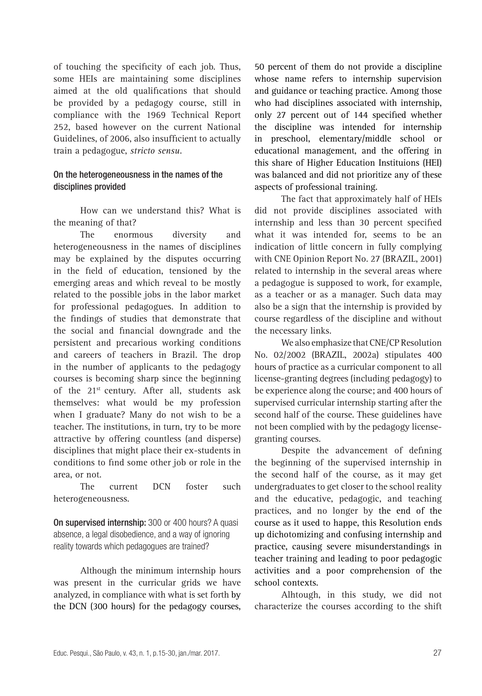of touching the specificity of each job. Thus, some HEIs are maintaining some disciplines aimed at the old qualifications that should be provided by a pedagogy course, still in compliance with the 1969 Technical Report 252, based however on the current National Guidelines, of 2006, also insufficient to actually train a pedagogue, *stricto sensu.*

## On the heterogeneousness in the names of the disciplines provided

How can we understand this? What is the meaning of that?

The enormous diversity and heterogeneousness in the names of disciplines may be explained by the disputes occurring in the field of education, tensioned by the emerging areas and which reveal to be mostly related to the possible jobs in the labor market for professional pedagogues. In addition to the findings of studies that demonstrate that the social and financial downgrade and the persistent and precarious working conditions and careers of teachers in Brazil. The drop in the number of applicants to the pedagogy courses is becoming sharp since the beginning of the 21<sup>st</sup> century. After all, students ask themselves: what would be my profession when I graduate? Many do not wish to be a teacher. The institutions, in turn, try to be more attractive by offering countless (and disperse) disciplines that might place their ex-students in conditions to find some other job or role in the area, or not.

The current DCN foster such heterogeneousness.

On supervised internship: 300 or 400 hours? A quasi absence, a legal disobedience, and a way of ignoring reality towards which pedagogues are trained?

Although the minimum internship hours was present in the curricular grids we have analyzed, in compliance with what is set forth by the DCN (300 hours) for the pedagogy courses,

50 percent of them do not provide a discipline whose name refers to internship supervision and guidance or teaching practice. Among those who had disciplines associated with internship, only 27 percent out of 144 specified whether the discipline was intended for internship in preschool, elementary/middle school or educational management, and the offering in this share of Higher Education Instituions (HEI) was balanced and did not prioritize any of these aspects of professional training.

The fact that approximately half of HEIs did not provide disciplines associated with internship and less than 30 percent specified what it was intended for, seems to be an indication of little concern in fully complying with CNE Opinion Report No. 27 (BRAZIL, 2001) related to internship in the several areas where a pedagogue is supposed to work, for example, as a teacher or as a manager. Such data may also be a sign that the internship is provided by course regardless of the discipline and without the necessary links.

We also emphasize that CNE/CP Resolution No. 02/2002 (BRAZIL, 2002a) stipulates 400 hours of practice as a curricular component to all license-granting degrees (including pedagogy) to be experience along the course; and 400 hours of supervised curricular internship starting after the second half of the course. These guidelines have not been complied with by the pedagogy licensegranting courses.

Despite the advancement of defining the beginning of the supervised internship in the second half of the course, as it may get undergraduates to get closer to the school reality and the educative, pedagogic, and teaching practices, and no longer by the end of the course as it used to happe, this Resolution ends up dichotomizing and confusing internship and practice, causing severe misunderstandings in teacher training and leading to poor pedagogic activities and a poor comprehension of the school contexts.

Alhtough, in this study, we did not characterize the courses according to the shift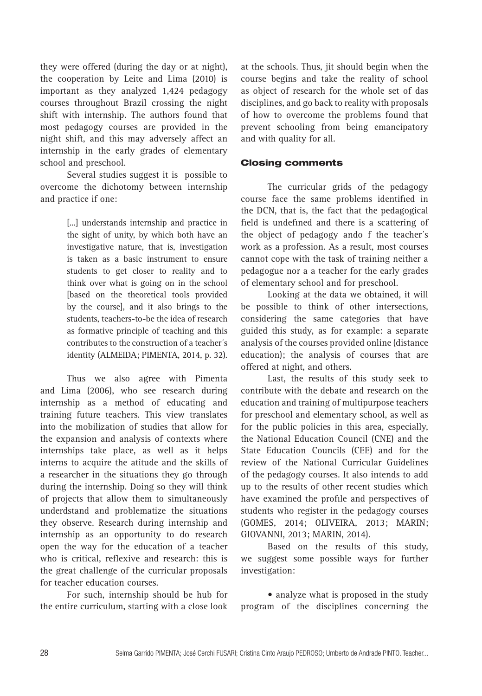they were offered (during the day or at night), the cooperation by Leite and Lima (2010) is important as they analyzed 1,424 pedagogy courses throughout Brazil crossing the night shift with internship. The authors found that most pedagogy courses are provided in the night shift, and this may adversely affect an internship in the early grades of elementary school and preschool.

Several studies suggest it is possible to overcome the dichotomy between internship and practice if one:

> [...] understands internship and practice in the sight of unity, by which both have an investigative nature, that is, investigation is taken as a basic instrument to ensure students to get closer to reality and to think over what is going on in the school [based on the theoretical tools provided by the course], and it also brings to the students, teachers-to-be the idea of research as formative principle of teaching and this contributes to the construction of a teacher´s identity (ALMEIDA; PIMENTA, 2014, p. 32).

Thus we also agree with Pimenta and Lima (2006), who see research during internship as a method of educating and training future teachers. This view translates into the mobilization of studies that allow for the expansion and analysis of contexts where internships take place, as well as it helps interns to acquire the atitude and the skills of a researcher in the situations they go through during the internship. Doing so they will think of projects that allow them to simultaneously underdstand and problematize the situations they observe. Research during internship and internship as an opportunity to do research open the way for the education of a teacher who is critical, reflexive and research: this is the great challenge of the curricular proposals for teacher education courses.

For such, internship should be hub for the entire curriculum, starting with a close look

at the schools. Thus, jit should begin when the course begins and take the reality of school as object of research for the whole set of das disciplines, and go back to reality with proposals of how to overcome the problems found that prevent schooling from being emancipatory and with quality for all.

#### Closing comments

The curricular grids of the pedagogy course face the same problems identified in the DCN, that is, the fact that the pedagogical field is undefined and there is a scattering of the object of pedagogy ando f the teacher´s work as a profession. As a result, most courses cannot cope with the task of training neither a pedagogue nor a a teacher for the early grades of elementary school and for preschool.

Looking at the data we obtained, it will be possible to think of other intersections, considering the same categories that have guided this study, as for example: a separate analysis of the courses provided online (distance education); the analysis of courses that are offered at night, and others.

Last, the results of this study seek to contribute with the debate and research on the education and training of multipurpose teachers for preschool and elementary school, as well as for the public policies in this area, especially, the National Education Council (CNE) and the State Education Councils (CEE) and for the review of the National Curricular Guidelines of the pedagogy courses. It also intends to add up to the results of other recent studies which have examined the profile and perspectives of students who register in the pedagogy courses (GOMES, 2014; OLIVEIRA, 2013; MARIN; GIOVANNI, 2013; MARIN, 2014).

Based on the results of this study, we suggest some possible ways for further investigation:

• analyze what is proposed in the study program of the disciplines concerning the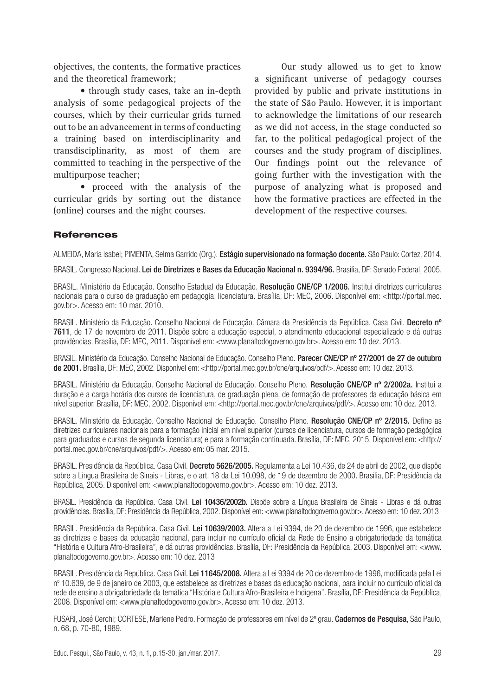objectives, the contents, the formative practices and the theoretical framework;

• through study cases, take an in-depth analysis of some pedagogical projects of the courses, which by their curricular grids turned out to be an advancement in terms of conducting a training based on interdisciplinarity and transdisciplinarity, as most of them are committed to teaching in the perspective of the multipurpose teacher;

• proceed with the analysis of the curricular grids by sorting out the distance (online) courses and the night courses.

Our study allowed us to get to know a significant universe of pedagogy courses provided by public and private institutions in the state of São Paulo. However, it is important to acknowledge the limitations of our research as we did not access, in the stage conducted so far, to the political pedagogical project of the courses and the study program of disciplines. Our findings point out the relevance of going further with the investigation with the purpose of analyzing what is proposed and how the formative practices are effected in the development of the respective courses.

## References

ALMEIDA, Maria Isabel; PIMENTA, Selma Garrido (Org.). Estágio supervisionado na formação docente. São Paulo: Cortez, 2014.

BRASIL. Congresso Nacional. Lei de Diretrizes e Bases da Educação Nacional n. 9394/96. Brasília, DF: Senado Federal, 2005.

BRASIL. Ministério da Educação. Conselho Estadual da Educação. Resolução CNE/CP 1/2006. Institui diretrizes curriculares nacionais para o curso de graduação em pedagogia, licenciatura. Brasília, DF: MEC, 2006. Disponível em: <http://portal.mec. gov.br>. Acesso em: 10 mar. 2010.

BRASIL. Ministério da Educação. Conselho Nacional de Educação. Câmara da Presidência da República. Casa Civil. Decreto nº 7611, de 17 de novembro de 2011. Dispõe sobre a educação especial, o atendimento educacional especializado e dá outras providências. Brasília, DF: MEC, 2011. Disponível em: <www.planaltodogoverno.gov.br>. Acesso em: 10 dez. 2013.

BRASIL. Ministério da Educação. Conselho Nacional de Educação. Conselho Pleno. Parecer CNE/CP nº 27/2001 de 27 de outubro de 2001. Brasília, DF: MEC, 2002. Disponível em: <http://portal.mec.gov.br/cne/arquivos/pdf/>. Acesso em: 10 dez. 2013.

BRASIL. Ministério da Educação. Conselho Nacional de Educação. Conselho Pleno. Resolução CNE/CP nº 2/2002a. Institui a duração e a carga horária dos cursos de licenciatura, de graduação plena, de formação de professores da educação básica em nível superior. Brasília, DF: MEC, 2002. Disponível em: <http://portal.mec.gov.br/cne/arquivos/pdf/>. Acesso em: 10 dez. 2013.

BRASIL. Ministério da Educação. Conselho Nacional de Educação. Conselho Pleno. Resolução CNE/CP nº 2/2015. Define as diretrizes curriculares nacionais para a formação inicial em nível superior (cursos de licenciatura, cursos de formação pedagógica para graduados e cursos de segunda licenciatura) e para a formação continuada. Brasília, DF: MEC, 2015. Disponível em: <http:// portal.mec.gov.br/cne/arquivos/pdf/>. Acesso em: 05 mar. 2015.

BRASIL. Presidência da República. Casa Civil. Decreto 5626/2005. Regulamenta a Lei 10.436, de 24 de abril de 2002, que dispõe sobre a Língua Brasileira de Sinais - Libras, e o art. 18 da Lei 10.098, de 19 de dezembro de 2000. Brasília, DF: Presidência da República, 2005. Disponível em: <www.planaltodogoverno.gov.br>. Acesso em: 10 dez. 2013.

BRASIL. Presidência da República. Casa Civil. Lei 10436/2002b. Dispõe sobre a Língua Brasileira de Sinais - Libras e dá outras providências. Brasília, DF: Presidência da República, 2002. Disponível em: <www.planaltodogoverno.gov.br>. Acesso em: 10 dez. 2013

BRASIL. Presidência da República. Casa Civil. Lei 10639/2003. Altera a Lei 9394, de 20 de dezembro de 1996, que estabelece as diretrizes e bases da educação nacional, para incluir no currículo oficial da Rede de Ensino a obrigatoriedade da temática "História e Cultura Afro-Brasileira", e dá outras providências. Brasília, DF: Presidência da República, 2003. Disponível em: <www. planaltodogoverno.gov.br>. Acesso em: 10 dez. 2013

BRASIL. Presidência da República. Casa Civil. Lei 11645/2008. Altera a Lei 9394 de 20 de dezembro de 1996, modificada pela Lei nº 10.639, de 9 de janeiro de 2003, que estabelece as diretrizes e bases da educação nacional, para incluir no currículo oficial da rede de ensino a obrigatoriedade da temática "História e Cultura Afro-Brasileira e Indígena". Brasília, DF: Presidência da República, 2008. Disponível em: <www.planaltodogoverno.gov.br>. Acesso em: 10 dez. 2013.

FUSARI, José Cerchi; CORTESE, Marlene Pedro. Formação de professores em nível de 2º grau. Cadernos de Pesquisa, São Paulo, n. 68, p. 70-80, 1989.